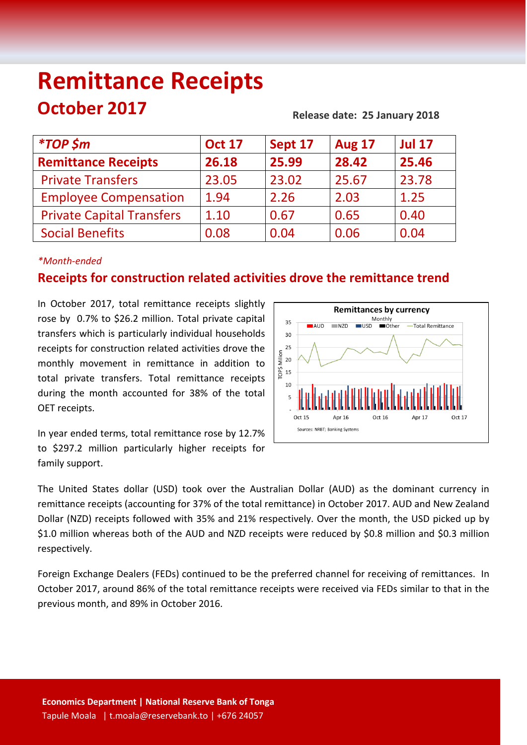# **Remittance Receipts October 2017** Release date: 25 January 2018

| <b>Oct 17</b> | Sept 17 | <b>Aug 17</b> | <b>Jul 17</b> |
|---------------|---------|---------------|---------------|
| 26.18         | 25.99   | 28.42         | 25.46         |
| 23.05         | 23.02   | 25.67         | 23.78         |
| 1.94          | 2.26    | 2.03          | 1.25          |
| 1.10          | 0.67    | 0.65          | 0.40          |
| 0.08          | 0.04    | 0.06          | 0.04          |
|               |         |               |               |

### *\*Month-ended*

## **Receipts for construction related activities drove the remittance trend**

In October 2017, total remittance receipts slightly rose by 0.7% to \$26.2 million. Total private capital transfers which is particularly individual households receipts for construction related activities drove the monthly movement in remittance in addition to total private transfers. Total remittance receipts during the month accounted for 38% of the total OET receipts.

In year ended terms, total remittance rose by 12.7% to \$297.2 million particularly higher receipts for family support.



The United States dollar (USD) took over the Australian Dollar (AUD) as the dominant currency in remittance receipts (accounting for 37% of the total remittance) in October 2017. AUD and New Zealand Dollar (NZD) receipts followed with 35% and 21% respectively. Over the month, the USD picked up by \$1.0 million whereas both of the AUD and NZD receipts were reduced by \$0.8 million and \$0.3 million respectively.

Foreign Exchange Dealers (FEDs) continued to be the preferred channel for receiving of remittances. In October 2017, around 86% of the total remittance receipts were received via FEDs similar to that in the previous month, and 89% in October 2016.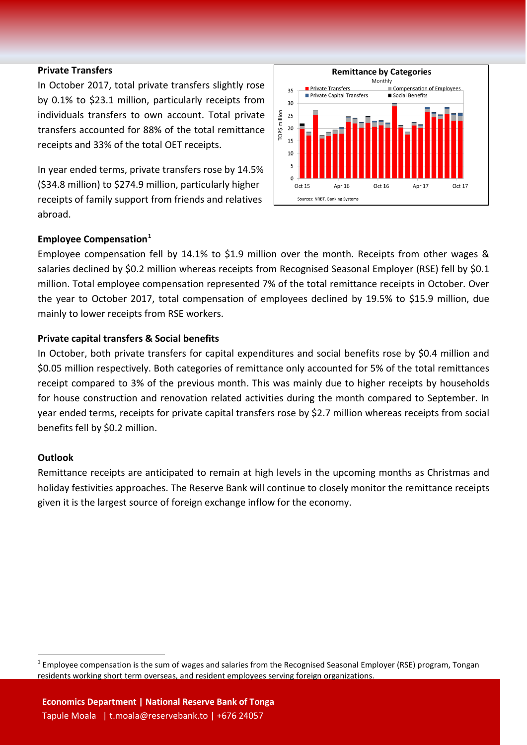#### **Private Transfers**

In October 2017, total private transfers slightly rose by 0.1% to \$23.1 million, particularly receipts from individuals transfers to own account. Total private transfers accounted for 88% of the total remittance receipts and 33% of the total OET receipts.

In year ended terms, private transfers rose by 14.5% (\$34.8 million) to \$274.9 million, particularly higher receipts of family support from friends and relatives abroad.



#### **Employee Compensation[1](#page-1-0)**

Employee compensation fell by 14.1% to \$1.9 million over the month. Receipts from other wages & salaries declined by \$0.2 million whereas receipts from Recognised Seasonal Employer (RSE) fell by \$0.1 million. Total employee compensation represented 7% of the total remittance receipts in October. Over the year to October 2017, total compensation of employees declined by 19.5% to \$15.9 million, due mainly to lower receipts from RSE workers.

#### **Private capital transfers & Social benefits**

In October, both private transfers for capital expenditures and social benefits rose by \$0.4 million and \$0.05 million respectively. Both categories of remittance only accounted for 5% of the total remittances receipt compared to 3% of the previous month. This was mainly due to higher receipts by households for house construction and renovation related activities during the month compared to September. In year ended terms, receipts for private capital transfers rose by \$2.7 million whereas receipts from social benefits fell by \$0.2 million.

#### **Outlook**

Remittance receipts are anticipated to remain at high levels in the upcoming months as Christmas and holiday festivities approaches. The Reserve Bank will continue to closely monitor the remittance receipts given it is the largest source of foreign exchange inflow for the economy.

<span id="page-1-0"></span> $1$  Employee compensation is the sum of wages and salaries from the Recognised Seasonal Employer (RSE) program, Tongan residents working short term overseas, and resident employees serving foreign organizations.